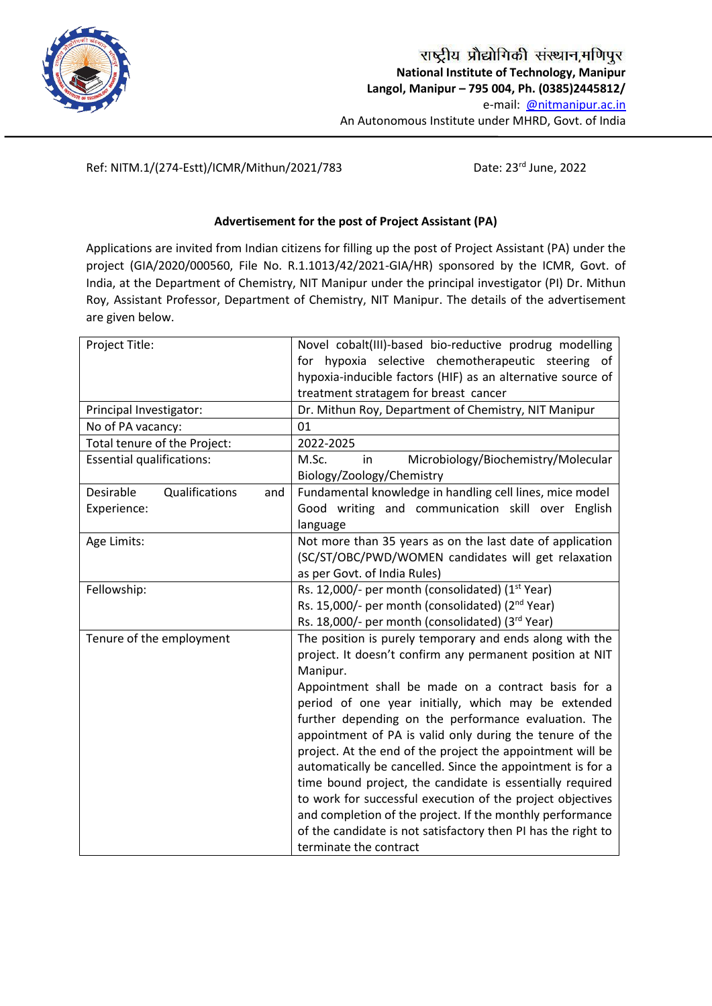

Ref: NITM.1/(274-Estt)/ICMR/Mithun/2021/783 Date: 23<sup>rd</sup> June, 2022

## **Advertisement for the post of Project Assistant (PA)**

Applications are invited from Indian citizens for filling up the post of Project Assistant (PA) under the project (GIA/2020/000560, File No. R.1.1013/42/2021-GIA/HR) sponsored by the ICMR, Govt. of India, at the Department of Chemistry, NIT Manipur under the principal investigator (PI) Dr. Mithun Roy, Assistant Professor, Department of Chemistry, NIT Manipur. The details of the advertisement are given below.

| Project Title:                     | Novel cobalt(III)-based bio-reductive prodrug modelling       |
|------------------------------------|---------------------------------------------------------------|
|                                    | for hypoxia selective chemotherapeutic steering of            |
|                                    | hypoxia-inducible factors (HIF) as an alternative source of   |
|                                    | treatment stratagem for breast cancer                         |
| Principal Investigator:            | Dr. Mithun Roy, Department of Chemistry, NIT Manipur          |
| No of PA vacancy:                  | 01                                                            |
| Total tenure of the Project:       | 2022-2025                                                     |
| <b>Essential qualifications:</b>   | M.Sc.<br>in<br>Microbiology/Biochemistry/Molecular            |
|                                    | Biology/Zoology/Chemistry                                     |
| Qualifications<br>Desirable<br>and | Fundamental knowledge in handling cell lines, mice model      |
| Experience:                        | Good writing and communication skill over English             |
|                                    | language                                                      |
| Age Limits:                        | Not more than 35 years as on the last date of application     |
|                                    | (SC/ST/OBC/PWD/WOMEN candidates will get relaxation           |
|                                    | as per Govt. of India Rules)                                  |
| Fellowship:                        | Rs. 12,000/- per month (consolidated) (1 <sup>st</sup> Year)  |
|                                    | Rs. 15,000/- per month (consolidated) (2 <sup>nd</sup> Year)  |
|                                    | Rs. 18,000/- per month (consolidated) (3rd Year)              |
| Tenure of the employment           | The position is purely temporary and ends along with the      |
|                                    | project. It doesn't confirm any permanent position at NIT     |
|                                    | Manipur.                                                      |
|                                    | Appointment shall be made on a contract basis for a           |
|                                    | period of one year initially, which may be extended           |
|                                    | further depending on the performance evaluation. The          |
|                                    | appointment of PA is valid only during the tenure of the      |
|                                    | project. At the end of the project the appointment will be    |
|                                    | automatically be cancelled. Since the appointment is for a    |
|                                    | time bound project, the candidate is essentially required     |
|                                    | to work for successful execution of the project objectives    |
|                                    | and completion of the project. If the monthly performance     |
|                                    | of the candidate is not satisfactory then PI has the right to |
|                                    | terminate the contract                                        |